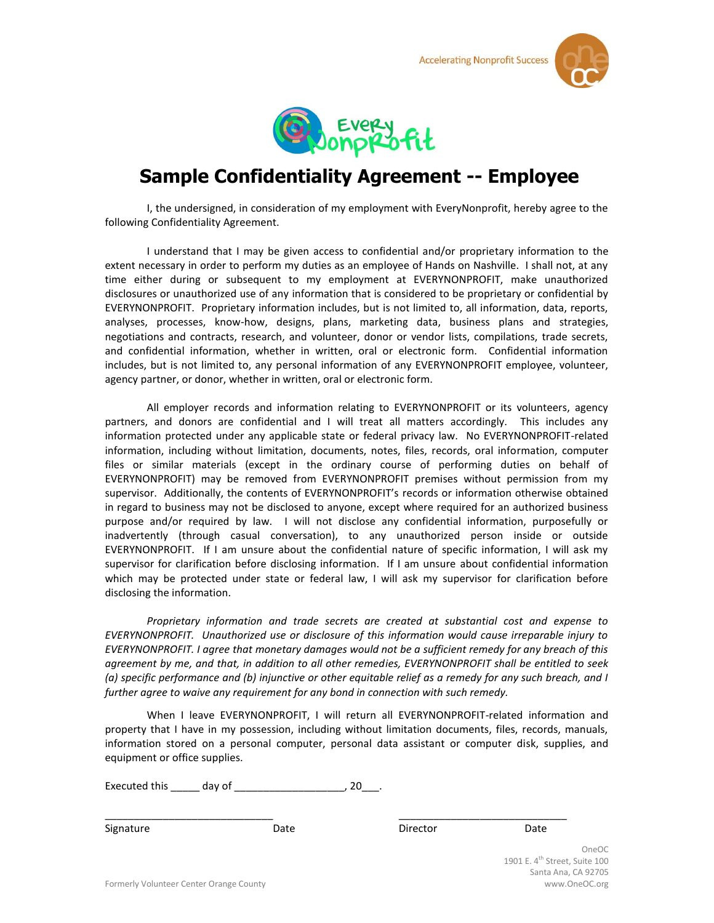**Accelerating Nonprofit Success** 





## **Sample Confidentiality Agreement -- Employee**

I, the undersigned, in consideration of my employment with EveryNonprofit, hereby agree to the following Confidentiality Agreement.

I understand that I may be given access to confidential and/or proprietary information to the extent necessary in order to perform my duties as an employee of Hands on Nashville. I shall not, at any time either during or subsequent to my employment at EVERYNONPROFIT, make unauthorized disclosures or unauthorized use of any information that is considered to be proprietary or confidential by EVERYNONPROFIT. Proprietary information includes, but is not limited to, all information, data, reports, analyses, processes, know-how, designs, plans, marketing data, business plans and strategies, negotiations and contracts, research, and volunteer, donor or vendor lists, compilations, trade secrets, and confidential information, whether in written, oral or electronic form. Confidential information includes, but is not limited to, any personal information of any EVERYNONPROFIT employee, volunteer, agency partner, or donor, whether in written, oral or electronic form.

All employer records and information relating to EVERYNONPROFIT or its volunteers, agency partners, and donors are confidential and I will treat all matters accordingly. This includes any information protected under any applicable state or federal privacy law. No EVERYNONPROFIT-related information, including without limitation, documents, notes, files, records, oral information, computer files or similar materials (except in the ordinary course of performing duties on behalf of EVERYNONPROFIT) may be removed from EVERYNONPROFIT premises without permission from my supervisor. Additionally, the contents of EVERYNONPROFIT's records or information otherwise obtained in regard to business may not be disclosed to anyone, except where required for an authorized business purpose and/or required by law. I will not disclose any confidential information, purposefully or inadvertently (through casual conversation), to any unauthorized person inside or outside EVERYNONPROFIT. If I am unsure about the confidential nature of specific information, I will ask my supervisor for clarification before disclosing information. If I am unsure about confidential information which may be protected under state or federal law, I will ask my supervisor for clarification before disclosing the information.

*Proprietary information and trade secrets are created at substantial cost and expense to EVERYNONPROFIT. Unauthorized use or disclosure of this information would cause irreparable injury to EVERYNONPROFIT. I agree that monetary damages would not be a sufficient remedy for any breach of this agreement by me, and that, in addition to all other remedies, EVERYNONPROFIT shall be entitled to seek (a) specific performance and (b) injunctive or other equitable relief as a remedy for any such breach, and I further agree to waive any requirement for any bond in connection with such remedy.*

When I leave EVERYNONPROFIT, I will return all EVERYNONPROFIT-related information and property that I have in my possession, including without limitation documents, files, records, manuals, information stored on a personal computer, personal data assistant or computer disk, supplies, and equipment or office supplies.

\_\_\_\_\_\_\_\_\_\_\_\_\_\_\_\_\_\_\_\_\_\_\_\_\_\_\_\_\_ \_\_\_\_\_\_\_\_\_\_\_\_\_\_\_\_\_\_\_\_\_\_\_\_\_\_\_\_\_

Executed this \_\_\_\_\_ day of \_\_\_\_\_\_\_\_\_\_\_\_\_\_\_\_\_\_\_, 20\_\_\_.

Signature **Date** Date Director Date Director Date